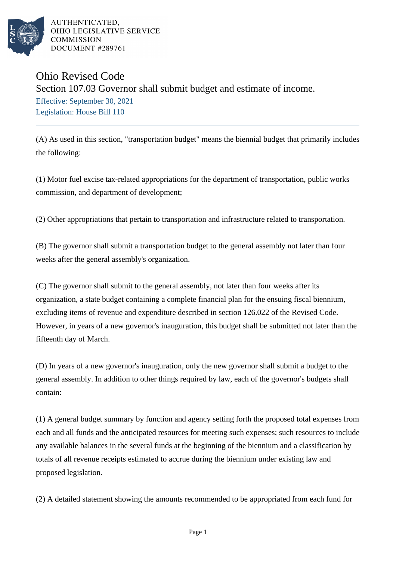

AUTHENTICATED. OHIO LEGISLATIVE SERVICE **COMMISSION** DOCUMENT #289761

## Ohio Revised Code Section 107.03 Governor shall submit budget and estimate of income. Effective: September 30, 2021 Legislation: House Bill 110

(A) As used in this section, "transportation budget" means the biennial budget that primarily includes the following:

(1) Motor fuel excise tax-related appropriations for the department of transportation, public works commission, and department of development;

(2) Other appropriations that pertain to transportation and infrastructure related to transportation.

(B) The governor shall submit a transportation budget to the general assembly not later than four weeks after the general assembly's organization.

(C) The governor shall submit to the general assembly, not later than four weeks after its organization, a state budget containing a complete financial plan for the ensuing fiscal biennium, excluding items of revenue and expenditure described in section 126.022 of the Revised Code. However, in years of a new governor's inauguration, this budget shall be submitted not later than the fifteenth day of March.

(D) In years of a new governor's inauguration, only the new governor shall submit a budget to the general assembly. In addition to other things required by law, each of the governor's budgets shall contain:

(1) A general budget summary by function and agency setting forth the proposed total expenses from each and all funds and the anticipated resources for meeting such expenses; such resources to include any available balances in the several funds at the beginning of the biennium and a classification by totals of all revenue receipts estimated to accrue during the biennium under existing law and proposed legislation.

(2) A detailed statement showing the amounts recommended to be appropriated from each fund for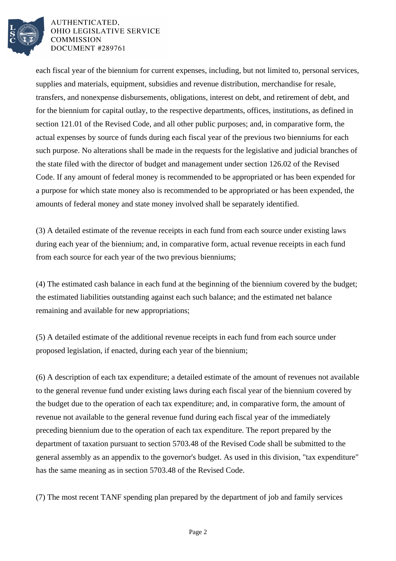

AUTHENTICATED. OHIO LEGISLATIVE SERVICE **COMMISSION** DOCUMENT #289761

each fiscal year of the biennium for current expenses, including, but not limited to, personal services, supplies and materials, equipment, subsidies and revenue distribution, merchandise for resale, transfers, and nonexpense disbursements, obligations, interest on debt, and retirement of debt, and for the biennium for capital outlay, to the respective departments, offices, institutions, as defined in section 121.01 of the Revised Code, and all other public purposes; and, in comparative form, the actual expenses by source of funds during each fiscal year of the previous two bienniums for each such purpose. No alterations shall be made in the requests for the legislative and judicial branches of the state filed with the director of budget and management under section 126.02 of the Revised Code. If any amount of federal money is recommended to be appropriated or has been expended for a purpose for which state money also is recommended to be appropriated or has been expended, the amounts of federal money and state money involved shall be separately identified.

(3) A detailed estimate of the revenue receipts in each fund from each source under existing laws during each year of the biennium; and, in comparative form, actual revenue receipts in each fund from each source for each year of the two previous bienniums;

(4) The estimated cash balance in each fund at the beginning of the biennium covered by the budget; the estimated liabilities outstanding against each such balance; and the estimated net balance remaining and available for new appropriations;

(5) A detailed estimate of the additional revenue receipts in each fund from each source under proposed legislation, if enacted, during each year of the biennium;

(6) A description of each tax expenditure; a detailed estimate of the amount of revenues not available to the general revenue fund under existing laws during each fiscal year of the biennium covered by the budget due to the operation of each tax expenditure; and, in comparative form, the amount of revenue not available to the general revenue fund during each fiscal year of the immediately preceding biennium due to the operation of each tax expenditure. The report prepared by the department of taxation pursuant to section 5703.48 of the Revised Code shall be submitted to the general assembly as an appendix to the governor's budget. As used in this division, "tax expenditure" has the same meaning as in section 5703.48 of the Revised Code.

(7) The most recent TANF spending plan prepared by the department of job and family services